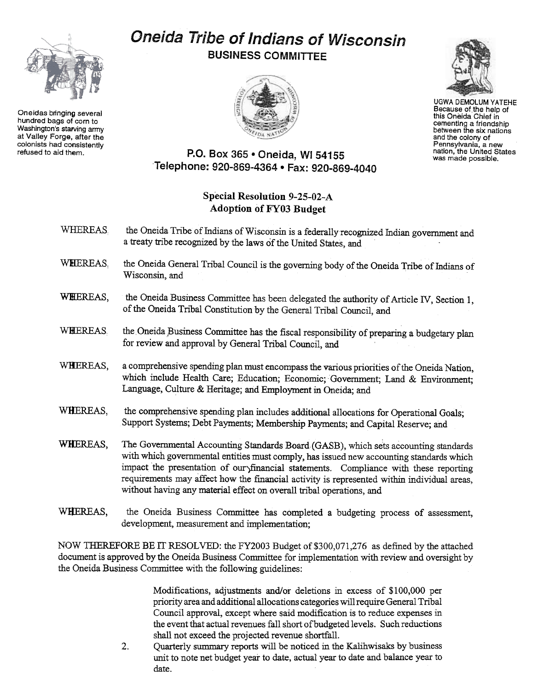## Oneida Tribe of Indians of Wisconsin BUSINESS COMMITTEE





UGWA DEMOLUM YATEHE Because of the help of this Oneida Chief in cementing a friendship between the six nation and the colony of Pennsylvania, a new nation, the United States was made possible.

## P.O. Box 365 . Oneida, WI 54155 Telephone: 920-869-4364 . Fax: 920-869-4040

## Special Resolution 9-25-02-A Adoption of FYO3 Budget

- WHEREAS the Oneida Tribe of Indians of Wisconsin is a federally recognized Indian government and a treaty tribe recognized by the laws of the United States, and
- WHIEREAS, the Oneida General Tribal Council is the governing body of the Oneida Tribe of Indians of Wisconsin, and
- WHEREAS, the Oneida Business Committee has been delegated the authority of Article IV, Section 1, of the Oneida Tribal Constitution by the General Tribal Council, and
- WHEREAS the Oneida Business Committee has the fiscal responsibility of preparing a budgetary plan for review and approval by General Tribal Council, and
- WHEREAS, a comprehensive spending plan must encompass the various priorities of the Oneida Nation, which include Health Care; Education; Economic; Government; Land & Environment; Language, Culture & Heritage; and Employment in Oneida; and
- WHEREAS, the comprehensive spending plan includes additional allocations for Operational Goals; Support Systems; Debt Payments; Membership Payments; and Capital Reserve; arid
- WHEREAS, The Governmental Accounting Standards Board (GASB), which sets accounting standards with which governmental entities must comply, has issued new accounting standards which impact the presentation of our)financial statements. Compliance with these reporting requirements may affect how the fmancial activity is represented within individual areas, without having any material effect on overall tribal operations, and
- WHEREAS, the Oneida Business Committee has completed a budgeting process of assessment, development, measurement and implementation;

NOW THEREFORE BE IT RESOLVED: the FY2003 Budget of \$300,071,276 as defined by the attached document is approved by the Oneida Business Committee for implementation with review and oversight by the Oneida Business Committee with the following guidelines:

> Modifications, adjustments and/or deletions in excess of \$100,000 per priority area and additional allocations categories will require General Tribal Council approval, except where said modification is to reduce expenses in the event that actual revenues fall short of budgeted levels. Such reductions shall not exceed the projected revenue shortfall.

 $2.$ Quarterly summary reports will be noticed in the Kalihwisaks by business unit to note net budget year to date, actual year to date and balance year to date.



Oneidas bringing several hundred bags of corn to Washington's starving army at Valley Forge. after the colonists had consistently<br>refused to aid them.